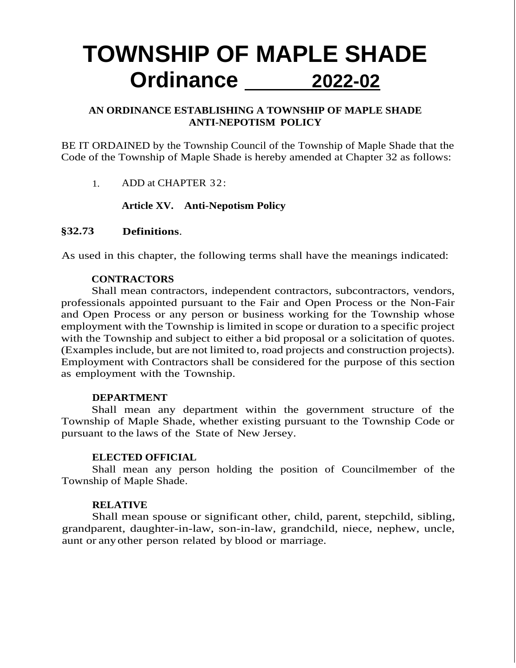# **TOWNSHIP OF MAPLE SHADE Ordinance 2022-02**

## **AN ORDINANCE ESTABLISHING A TOWNSHIP OF MAPLE SHADE ANTI-NEPOTISM POLICY**

BE IT ORDAINED by the Township Council of the Township of Maple Shade that the Code of the Township of Maple Shade is hereby amended at Chapter 32 as follows:

1. ADD at CHAPTER 32:

#### **Article XV. Anti-Nepotism Policy**

#### **§32.73 Definitions**.

As used in this chapter, the following terms shall have the meanings indicated:

#### **CONTRACTORS**

Shall mean contractors, independent contractors, subcontractors, vendors, professionals appointed pursuant to the Fair and Open Process or the Non-Fair and Open Process or any person or business working for the Township whose employment with the Township is limited in scope or duration to a specific project with the Township and subject to either a bid proposal or a solicitation of quotes. (Examples include, but are not limited to, road projects and construction projects). Employment with Contractors shall be considered for the purpose of this section as employment with the Township.

#### **DEPARTMENT**

Shall mean any department within the government structure of the Township of Maple Shade, whether existing pursuant to the Township Code or pursuant to the laws of the State of New Jersey.

#### **ELECTED OFFICIAL**

Shall mean any person holding the position of Councilmember of the Township of Maple Shade.

#### **RELATIVE**

Shall mean spouse or significant other, child, parent, stepchild, sibling, grandparent, daughter-in-law, son-in-law, grandchild, niece, nephew, uncle, aunt or anyother person related by blood or marriage.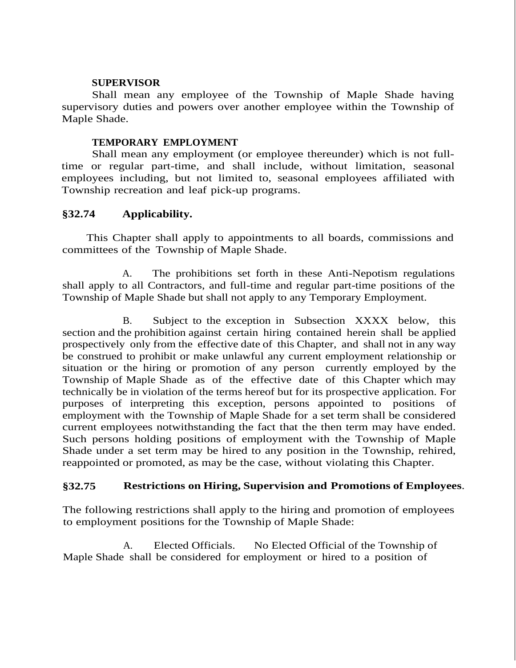#### **SUPERVISOR**

Shall mean any employee of the Township of Maple Shade having supervisory duties and powers over another employee within the Township of Maple Shade.

#### **TEMPORARY EMPLOYMENT**

Shall mean any employment (or employee thereunder) which is not fulltime or regular part-time, and shall include, without limitation, seasonal employees including, but not limited to, seasonal employees affiliated with Township recreation and leaf pick-up programs.

#### **§32.74 Applicability.**

 This Chapter shall apply to appointments to all boards, commissions and committees of the Township of Maple Shade.

A. The prohibitions set forth in these Anti-Nepotism regulations shall apply to all Contractors, and full-time and regular part-time positions of the Township of Maple Shade but shall not apply to any Temporary Employment.

B. Subject to the exception in Subsection XXXX below, this section and the prohibition against certain hiring contained herein shall be applied prospectively only from the effective date of this Chapter, and shall not in any way be construed to prohibit or make unlawful any current employment relationship or situation or the hiring or promotion of any person currently employed by the Township of Maple Shade as of the effective date of this Chapter which may technically be in violation of the terms hereof but for its prospective application. For purposes of interpreting this exception, persons appointed to positions of employment with the Township of Maple Shade for a set term shall be considered current employees notwithstanding the fact that the then term may have ended. Such persons holding positions of employment with the Township of Maple Shade under a set term may be hired to any position in the Township, rehired, reappointed or promoted, as may be the case, without violating this Chapter.

## **§32.75 Restrictions on Hiring, Supervision and Promotions of Employees**.

The following restrictions shall apply to the hiring and promotion of employees to employment positions for the Township of Maple Shade:

A. Elected Officials. No Elected Official of the Township of Maple Shade shall be considered for employment or hired to a position of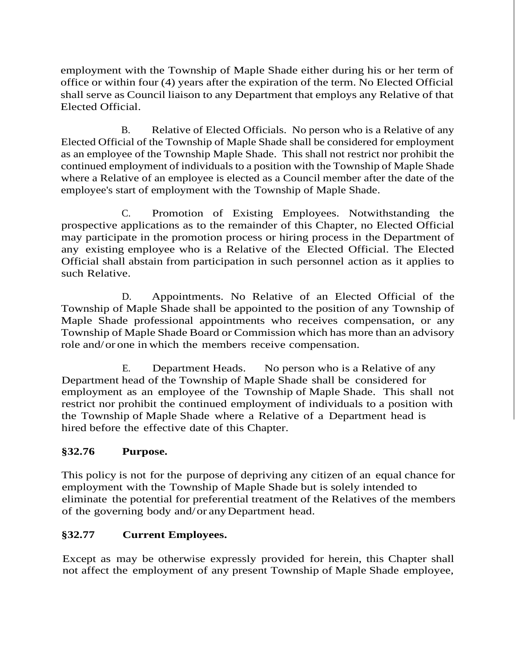employment with the Township of Maple Shade either during his or her term of office or within four (4) years after the expiration of the term. No Elected Official shall serve as Council liaison to any Department that employs any Relative of that Elected Official.

B. Relative of Elected Officials. No person who is a Relative of any Elected Official of the Township of Maple Shade shall be considered for employment as an employee of the Township Maple Shade. This shall not restrict nor prohibit the continued employment of individuals to a position with the Township of Maple Shade where a Relative of an employee is elected as a Council member after the date of the employee's start of employment with the Township of Maple Shade.

C. Promotion of Existing Employees. Notwithstanding the prospective applications as to the remainder of this Chapter, no Elected Official may participate in the promotion process or hiring process in the Department of any existing employee who is a Relative of the Elected Official. The Elected Official shall abstain from participation in such personnel action as it applies to such Relative.

D. Appointments. No Relative of an Elected Official of the Township of Maple Shade shall be appointed to the position of any Township of Maple Shade professional appointments who receives compensation, or any Township of Maple Shade Board or Commission which has more than an advisory role and/or one in which the members receive compensation.

E. Department Heads. No person who is a Relative of any Department head of the Township of Maple Shade shall be considered for employment as an employee of the Township of Maple Shade. This shall not restrict nor prohibit the continued employment of individuals to a position with the Township of Maple Shade where a Relative of a Department head is hired before the effective date of this Chapter.

# **§32.76 Purpose.**

This policy is not for the purpose of depriving any citizen of an equal chance for employment with the Township of Maple Shade but is solely intended to eliminate the potential for preferential treatment of the Relatives of the members of the governing body and/or anyDepartment head.

# **§32.77 Current Employees.**

Except as may be otherwise expressly provided for herein, this Chapter shall not affect the employment of any present Township of Maple Shade employee,